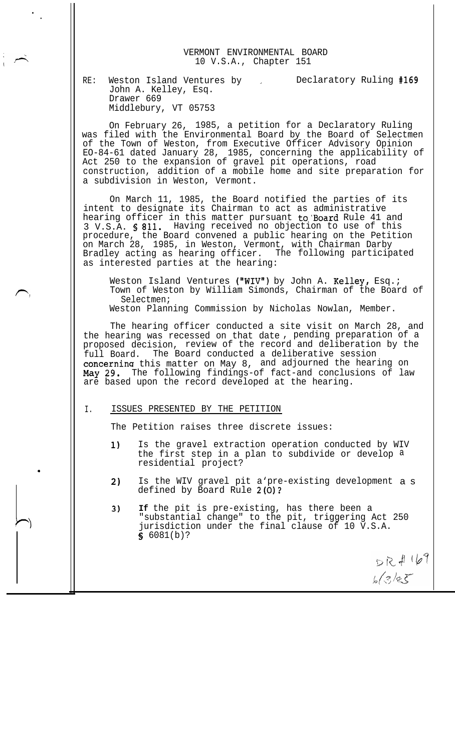

RE: Weston Island Ventures by , and Declaratory Ruling #169 John A. Kelley, Esq. Drawer 669 Middlebury, VT 05753

On February 26, 1985, a petition for a Declaratory Ruling was filed with the Environmental Board by the Board of Selectmen of the Town of Weston, from Executive Officer Advisory Opinion EO-84-61 dated January 28, 1985, concerning the applicability of Act 250 to the expansion of gravel pit operations, road construction, addition of a mobile home and site preparation for a subdivision in Weston, Vermont.

On March 11, 1985, the Board notified the parties of its intent to designate its Chairman to act as administrative hearing officer in this matter pursuant to'Board Rule 41 and 3 V.S.A. 6 811. Having received no objection to use of this procedure, the Board convened a public hearing on the Petition on March 28, 1985, in Weston, Vermont, with Chairman Darby Bradley acting as hearing officer. The following participated as interested parties at the hearing:

Weston Island Ventures ("WIV") by John A. Kelley, Esq.; Town of Weston by William Simonds, Chairman of the Board of Selectmen; Weston Planning Commission by Nicholas Nowlan, Member.

The hearing officer conducted a site visit on March 28, and the hearing was recessed on that date , pending preparation of a proposed decision, review of the record and deliberation by the full Board. The Board conducted a deliberative session concernina this matter on May 8, and adjourned the hearing on **May** 29. The following findings-of fact-and conclusions of law are based upon the record developed at the hearing.

## I. ISSUES PRESENTED BY THE PETITION

.

.

The Petition raises three discrete issues:

- 1) Is the gravel extraction operation conducted by WIV the first step in a plan to subdivide or develop a residential project?
- 2) Is the WIV gravel pit a'pre-existing development a s defined by Board Rule 2(O)?
- 3) **If** the pit is pre-existing, has there been a "substantial change" to the pit, triggering Act 250 jurisdiction under the final clause of 10 V.S.A.  $$6081(b)?$

 $DQ + QQ$  $6(3/85)$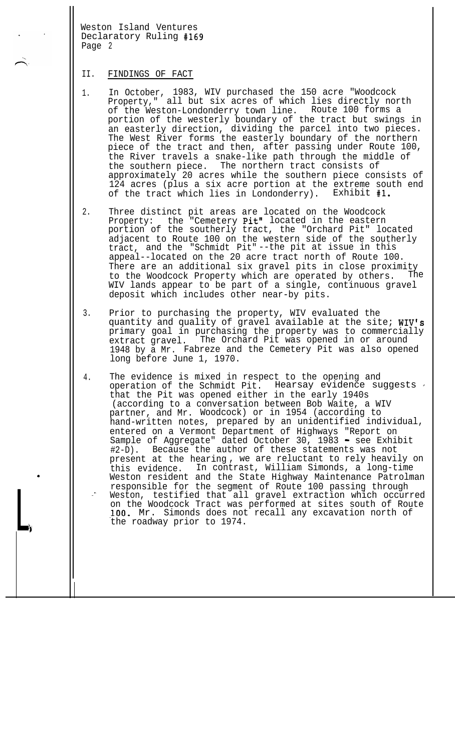## II. FINDINGS OF FACT

.

 $\Box$ 

- 1. In October, 1983, WIV purchased the 150 acre "Woodcock Property," all but six acres of which lies directly north of the Weston-Londonderry town line. Route 100 forms a portion of the westerly boundary of the tract but swings in an easterly direction, dividing the parcel into two pieces. The West River forms the easterly boundary of the northern piece of the tract and then, after passing under Route 100, the River travels a snake-like path through the middle of the southern piece. The northern tract consists of approximately 20 acres while the southern piece consists of 124 acres (plus a six acre portion at the extreme south end of the tract which lies in Londonderry). Exhibit #l.
- 2. Three distinct pit areas are located on the Woodcock Property: the "Cemetery Pit" located in the eastern portion of the southerly tract, the "Orchard Pit" located adjacent to Route 100 on the western side of the southerly tract, and the "Schmidt Pit" --the pit at issue in this appeal--located on the 20 acre tract north of Route 100. There are an additional six gravel pits in close proximity to the Woodcock Property which are operated by others. The WIV lands appear to be part of a single, continuous gravel deposit which includes other near-by pits.
- 3. Prior to purchasing the property, WIV evaluated the quantity and quality of gravel available at the site; WIV's primary goal in purchasing the property was to commercially extract gravel. The Orchard Pit was opened in or around 1948 by a Mr. Fabreze and the Cemetery Pit was also opened long before June 1, 1970.
- 4. \_- The evidence is mixed in respect to the opening and operation of the Schmidt Pit. Hearsay evidence suggests  $\cdot$ that the Pit was opened either in the early 1940s (according to a conversation between Bob Waite, a WIV partner, and Mr. Woodcock) or in 1954 (according to hand-written notes, prepared by an unidentified individual, entered on a Vermont Department of Highways "Report on Sample of Aggregate" dated October 30, 1983 - see Exhibit #2-D). Because the author of these statements was not present at the hearing , we are reluctant to rely heavily on this evidence. In contrast, William Simonds, a long-time Weston resident and the State Highway Maintenance Patrolman responsible for the segment of Route 100 passing through Weston, testified that all gravel extraction which occurred on the Woodcock Tract was performed at sites south of Route IOO. Mr. Simonds does not recall any excavation north of the roadway prior to 1974.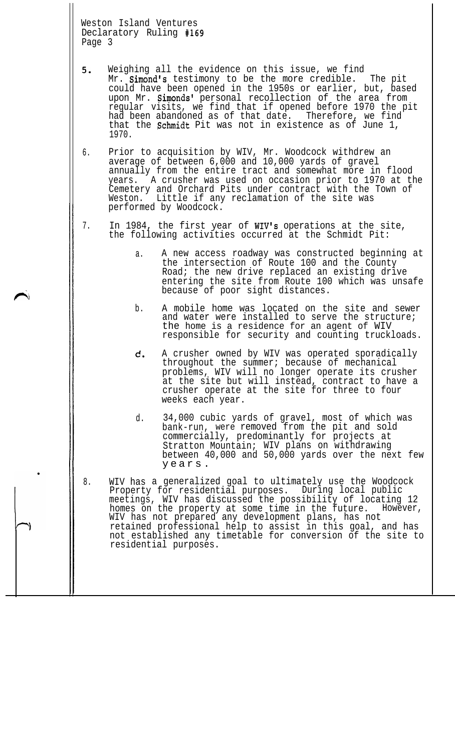|        |  | Weston Island Ventures  |  |
|--------|--|-------------------------|--|
|        |  | Declaratory Ruling #169 |  |
| Page 3 |  |                         |  |

| 5. | Weighing all the evidence on this issue, we find               |
|----|----------------------------------------------------------------|
|    | Mr. Simond's testimony to be the more credible. The pit        |
|    | could have been opened in the 1950s or earlier, but, based     |
|    | upon Mr. Simonds' personal recollection of the area from       |
|    | reqular visits, we find that if opened before 1970 the pit     |
|    | had been abandoned as of that date. Therefore, we find         |
|    | that the <b>Schmidt</b> Pit was not in existence as of June 1, |
|    | 1970.                                                          |

- 6. Prior to acquisition by WIV, Mr. Woodcock withdrew an average of between 6,000 and 10,000 yards of gravel annually from the entire tract and somewhat more in flood years. A crusher was used on occasion prior to 1970 at the Cemetery and Orchard Pits under contract with the Town of Weston. Little if any reclamation of the site was performed by Woodcock.
- 7. In 1984, the first year of WIV's operations at the site, the following activities occurred at the Schmidt Pit:
	- a. A new access roadway was constructed beginning at the intersection of Route 100 and the County Road; the new drive replaced an existing drive entering the site from Route 100 which was unsafe because of poor sight distances.
	- b. A mobile home was located on the site and sewer and water were installed to serve the structure; the home is a residence for an agent of WIV responsible for security and counting truckloads.
	- d. A crusher owned by WIV was operated sporadically throughout the summer; because of mechanical problems, WIV will no longer operate its crusher at the site but will instead, contract to have a crusher operate at the site for three to four weeks each year.
	- d. 34,000 cubic yards of gravel, most of which was bank-run, were removed from the pit and sold commercially, predominantly for projects at Stratton Mountain; WIV plans on withdrawing between 40,000 and 50,000 yards over the next few years.
- 8. WIV has a generalized goal to ultimately use the Woodcock Property for residential purposes. During local public meetings, WIV has discussed the possibility of locating 12 homes on the property at some time in the future. However, WIV has not prepared any development plans, has not retained professional help to assist in this goal, and has not established any timetable for conversion of the site to residential purposes.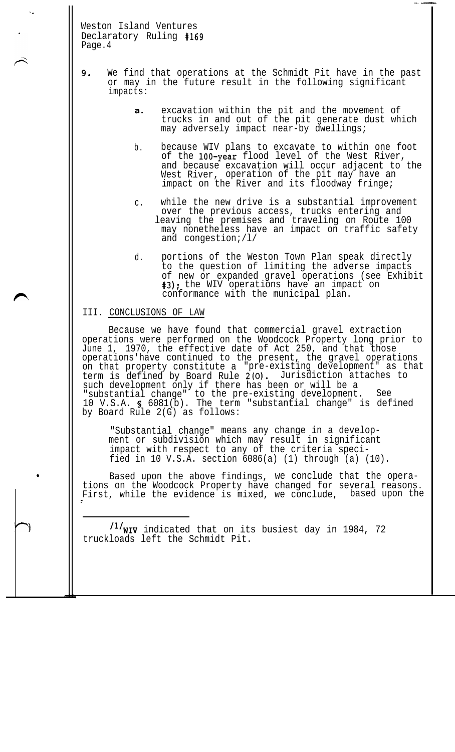- 9. We find that operations at the Schmidt Pit have in the past or may in the future result in the following significant impacts:
	- **a.** excavation within the pit and the movement of trucks in and out of the pit generate dust which may adversely impact near-by dwellings;

-.-

- b. because WIV plans to excavate to within one foot of the 100-year flood level of the West River, and because excavation will occur adjacent to the West River, operation of the pit may have an impact on the River and its floodway fringe;
- c. while the new drive is a substantial improvement over the previous access, trucks entering and leaving the premises and traveling on Route 100 may nonetheless have an impact on traffic safety and congestion;/l/
- d. portions of the Weston Town Plan speak directly to the question of limiting the adverse impacts of new or expanded gravel operations (see Exhibit #3); the WIV operations have an impact on conformance with the municipal plan.

## III. CONCLUSIONS OF LAW

.

 $\ddot{\phantom{a}}$  .

Because we have found that commercial gravel extraction operations were performed on the Woodcock Property long prior to June 1, 1970, the effective date of Act 250, and that those operations'have continued to the present, the gravel operations on that property constitute a "pre-existing development" as that term is defined by Board Rule 2(O). Jurisdiction attaches to such development only if there has been or will be a "substantial change" to the pre-existing development. See 10 V.S.A. S 6081(b). The term "substantial change" is defined by Board Rule 2(G) as follows:

"Substantial change" means any change in a development or subdivision which may result in significant impact with respect to any of the criteria specified in 10 V.S.A. section  $6086(a)$  (1) through  $(a)$  (10).

Based upon the above findings, we conclude that the operations on the Woodcock Property have changed for several reasons. First, while the evidence is mixed, we conclude, based upon the

/1/wIV indicated that on its busiest day in 1984, 72 truckloads left the Schmidt Pit.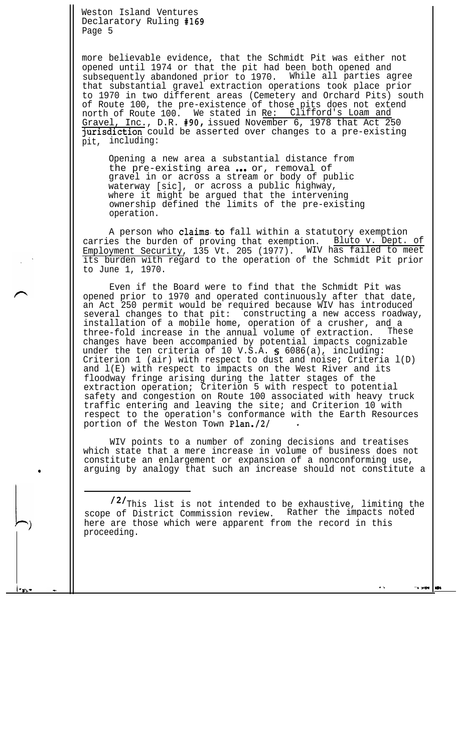.

more believable evidence, that the Schmidt Pit was either not opened until 1974 or that the pit had been both opened and subsequently abandoned prior to 1970. While all parties agree that substantial gravel extraction operations took place prior to 1970 in two different areas (Cemetery and Orchard Pits) south of Route 100, the pre-existence of those pits does not extend north of Route 100. We stated in <u>Re: Clifford's Loam and</u> Gravel, Inc., D.R. #90, issued November 6, 1978 that Act 250 jurisdiction could be asserted over changes to a pre-existing pit, including:

Opening a new area a substantial distance from the pre-existing area ... or, removal of gravel in or across a stream or body of public waterway [sic], or across a public highway, where it might be argued that the intervening ownership defined the limits of the pre-existing operation.

A person who claims to fall within a statutory exemption carries the burden of proving that exemption. Bluto v. Dept. of Employment Security, 135 Vt. 205 (1977). WIV has failed to meet its burden with regard to the operation of the Schmidt Pit prior to June 1, 1970.

Even if the Board were to find that the Schmidt Pit was opened prior to 1970 and operated continuously after that date, an Act 250 permit would be required because WIV has introduced several changes to that pit: constructing a new access roadway, installation of a mobile home, operation of a crusher, and a<br>three-fold increase in the annual volume of extraction. These three-fold increase in the annual volume of extraction. These changes have been accompanied by potential impacts cognizable under the ten criteria of 10 V.S.A. 5 6086(a), including: Criterion 1 (air) with respect to dust and noise; Criteria l(D) and l(E) with respect to impacts on the West River and its floodway fringe arising during the latter stages of the extraction operation; Criterion 5 with respect to potential safety and congestion on Route 100 associated with heavy truck traffic entering and leaving the site; and Criterion 10 with respect to the operation's conformance with the Earth Resources portion of the Weston Town Plan./2/

WIV points to a number of zoning decisions and treatises which state that a mere increase in volume of business does not constitute an enlargement or expansion of a nonconforming use, arguing by analogy that such an increase should not constitute a

/2/<sub>This</sub> list is not intended to be exhaustive, limiting the scope of District Commission review. Rather the impacts noted here are those which were apparent from the record in this proceeding.

.\* 'W Pm M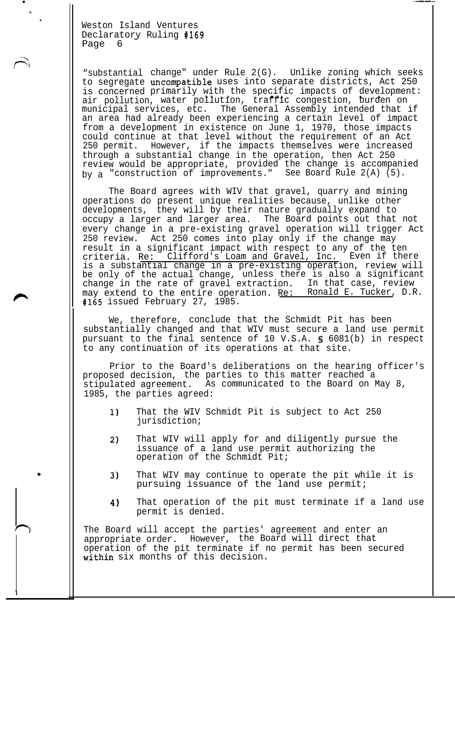.

I

"substantial change" under Rule 2(G). Unlike zoning which seeks to segregate uncompatible uses into separate districts, Act 250 is concerned primarily with the specific impacts of development: is concerned primarily with the specific impacts of development:<br>air pollution, water pollution, traffic congestion, burden on municipal services, etc. The General Assembly intended that if an area had already been experiencing a certain level of impact from a development in existence on June 1, 1970, those impacts could continue at that level without the requirement of an Act 250 permit. However, if the impacts themselves were increased through a substantial change in the operation, then Act 250 review would be appropriate, provided the change is accompanied by a "construction of improvements." See Board Rule 2(A) (5).

. .-...

The Board agrees with WIV that gravel, quarry and mining operations do present unique realities because, unlike other developments, they will by their nature gradually expand to occupy a larger and larger area. The Board points out that not every change in a pre-existing gravel operation will trigger Act 250 review. Act 250 comes into play only if the change may result in a significant impact with respect to any of the ten<br>mitorial Pe: Clifford's Loam and Gravel, Inc. Even if there criteria. Re: Clifford's Loam and Gravel, Inc. Even if there is a substantial change in a pre-existing operation, review will be only of the actual change, unless there is also a significant change in the rate of gravel extraction. In that case, review may extend to the entire operation. Re: Ronald E. Tucker, D.R. #165 issued February 27, 1985.

We, therefore, conclude that the Schmidt Pit has been substantially changed and that WIV must secure a land use permit pursuant to the final sentence of 10 V.S.A. S 6081(b) in respect to any continuation of its operations at that site.

Prior to the Board's deliberations on the hearing officer's proposed decision, the parties to this matter reached a stipulated agreement. As communicated to the Board on May 8, 1985, the parties agreed:

- 1) That the WIV Schmidt Pit is subject to Act 250 jurisdiction;
- 2) That WIV will apply for and diligently pursue the issuance of a land use permit authorizing the operation of the Schmidt Pit;
- 3) That WIV may continue to operate the pit while it is pursuing issuance of the land use permit;
- 4) That operation of the pit must terminate if a land use permit is denied.

The Board will accept the parties' agreement and enter an appropriate order. However, the Board will direct that operation of the pit terminate if no permit has been secured within six months of this decision.